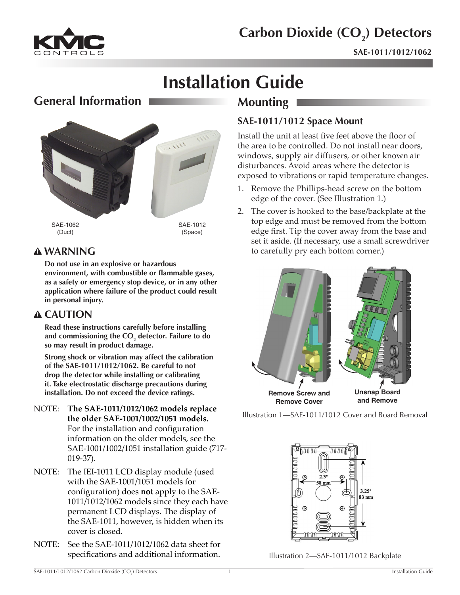

# **Carbon Dioxide (CO<sub>2</sub>) Detectors**

**SAE-1011/1012/1062**

# **Installation Guide**

# **General Information**



# **WARNING**

**Do not use in an explosive or hazardous environment, with combustible or flammable gases, as a safety or emergency stop device, or in any other application where failure of the product could result in personal injury.**

## **CAUTION**

**Read these instructions carefully before installing**  and commissioning the CO<sub>2</sub> detector. Failure to do **so may result in product damage.**

**Strong shock or vibration may affect the calibration of the SAE-1011/1012/1062. Be careful to not drop the detector while installing or calibrating it. Take electrostatic discharge precautions during installation. Do not exceed the device ratings.**

- NOTE: **The SAE-1011/1012/1062 models replace the older SAE-1001/1002/1051 models.** For the installation and configuration information on the older models, see the SAE-1001/1002/1051 installation guide (717- 019-37).
- NOTE: The IEI-1011 LCD display module (used with the SAE-1001/1051 models for configuration) does **not** apply to the SAE-1011/1012/1062 models since they each have permanent LCD displays. The display of the SAE-1011, however, is hidden when its cover is closed.
- NOTE: See the SAE-1011/1012/1062 data sheet for specifications and additional information.

# **Mounting**

## **SAE-1011/1012 Space Mount**

Install the unit at least five feet above the floor of the area to be controlled. Do not install near doors, windows, supply air diffusers, or other known air disturbances. Avoid areas where the detector is exposed to vibrations or rapid temperature changes.

- 1. Remove the Phillips-head screw on the bottom edge of the cover. (See Illustration 1.)
- 2. The cover is hooked to the base/backplate at the top edge and must be removed from the bottom edge first. Tip the cover away from the base and set it aside. (If necessary, use a small screwdriver to carefully pry each bottom corner.)



Illustration 1—SAE-1011/1012 Cover and Board Removal



Illustration 2—SAE-1011/1012 Backplate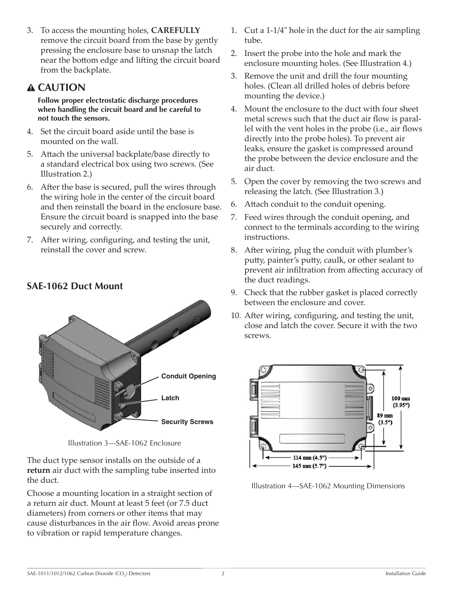<span id="page-1-0"></span>3. To access the mounting holes, **CAREFULLY** remove the circuit board from the base by gently pressing the enclosure base to unsnap the latch near the bottom edge and lifting the circuit board from the backplate.

# **CAUTION**

**Follow proper electrostatic discharge procedures when handling the circuit board and be careful to not touch the sensors.**

- 4. Set the circuit board aside until the base is mounted on the wall.
- 5. Attach the universal backplate/base directly to a standard electrical box using two screws. (See Illustration 2.)
- 6. After the base is secured, pull the wires through the wiring hole in the center of the circuit board and then reinstall the board in the enclosure base. Ensure the circuit board is snapped into the base securely and correctly.
- 7. After wiring, configuring, and testing the unit, reinstall the cover and screw.

# 2 2 8 **Conduit Opening Latch Security Screws**

Illustration 3—SAE-1062 Enclosure

The duct type sensor installs on the outside of a **return** air duct with the sampling tube inserted into the duct.

Choose a mounting location in a straight section of a return air duct. Mount at least 5 feet (or 7.5 duct diameters) from corners or other items that may cause disturbances in the air flow. Avoid areas prone to vibration or rapid temperature changes.

- 1. Cut a 1-1/4" hole in the duct for the air sampling tube.
- 2. Insert the probe into the hole and mark the enclosure mounting holes. (See Illustration 4.)
- 3. Remove the unit and drill the four mounting holes. (Clean all drilled holes of debris before mounting the device.)
- 4. Mount the enclosure to the duct with four sheet metal screws such that the duct air flow is parallel with the vent holes in the probe (i.e., air flows directly into the probe holes). To prevent air leaks, ensure the gasket is compressed around the probe between the device enclosure and the air duct.
- 5. Open the cover by removing the two screws and releasing the latch. (See Illustration 3.)
- 6. Attach conduit to the conduit opening.
- 7. Feed wires through the conduit opening, and connect to the terminals according to the wiring instructions.
- 8. After wiring, plug the conduit with plumber's putty, painter's putty, caulk, or other sealant to prevent air infiltration from affecting accuracy of the duct readings.
- 9. Check that the rubber gasket is placed correctly between the enclosure and cover.
- 10. After wiring, configuring, and testing the unit, close and latch the cover. Secure it with the two screws.



Illustration 4—SAE-1062 Mounting Dimensions

**SAE-1062 Duct Mount**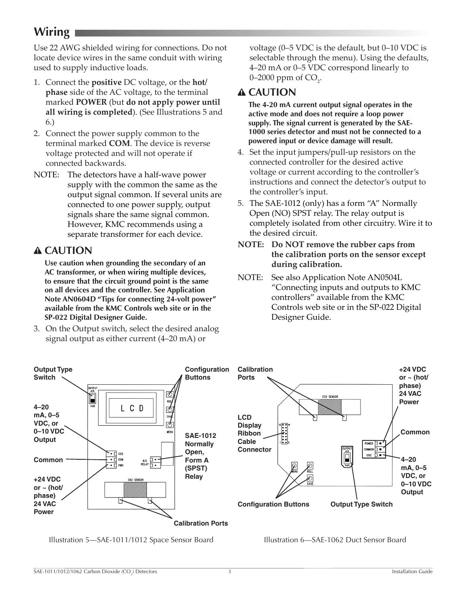# <span id="page-2-0"></span>**Wiring**

Use 22 AWG shielded wiring for connections. Do not locate device wires in the same conduit with wiring used to supply inductive loads.

- 1. Connect the **positive** DC voltage, or the **hot/ phase** side of the AC voltage, to the terminal marked **POWER** (but **do not apply power until all wiring is completed**). (See Illustrations 5 and 6.)
- 2. Connect the power supply common to the terminal marked **COM**. The device is reverse voltage protected and will not operate if connected backwards.
- NOTE: The detectors have a half-wave power supply with the common the same as the output signal common. If several units are connected to one power supply, output signals share the same signal common. However, KMC recommends using a separate transformer for each device.

# **CAUTION**

**Use caution when grounding the secondary of an AC transformer, or when wiring multiple devices, to ensure that the circuit ground point is the same on all devices and the controller. See Application Note AN0604D "Tips for connecting 24-volt power" available from the KMC Controls web site or in the SP-022 Digital Designer Guide.**

3. On the Output switch, select the desired analog signal output as either current (4–20 mA) or

voltage (0–5 VDC is the default, but 0–10 VDC is selectable through the menu). Using the defaults, 4–20 mA or 0–5 VDC correspond linearly to 0–2000 ppm of  $CO<sub>2</sub>$ .

# **CAUTION**

**The 4-20 mA current output signal operates in the active mode and does not require a loop power supply. The signal current is generated by the SAE-1000 series detector and must not be connected to a powered input or device damage will result.**

- 4. Set the input jumpers/pull-up resistors on the connected controller for the desired active voltage or current according to the controller's instructions and connect the detector's output to the controller's input.
- 5. The SAE-1012 (only) has a form "A" Normally Open (NO) SPST relay. The relay output is completely isolated from other circuitry. Wire it to the desired circuit.
- **NOTE: Do NOT remove the rubber caps from the calibration ports on the sensor except during calibration.**
- NOTE: See also Application Note AN0504L "Connecting inputs and outputs to KMC controllers" available from the KMC Controls web site or in the SP-022 Digital Designer Guide.



Illustration 5—SAE-1011/1012 Space Sensor Board

Illustration 6—SAE-1062 Duct Sensor Board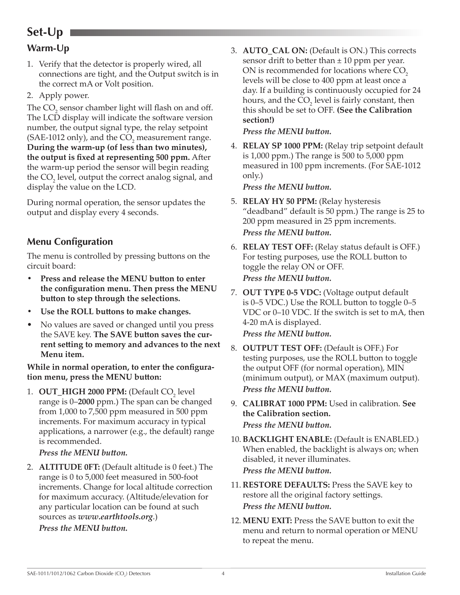# <span id="page-3-0"></span>**Set-Up**

# **Warm-Up**

- 1. Verify that the detector is properly wired, all connections are tight, and the Output switch is in the correct mA or Volt position.
- 2. Apply power.

The  $CO_2$  sensor chamber light will flash on and off. The LCD display will indicate the software version number, the output signal type, the relay setpoint (SAE-1012 only), and the  $CO_2$  measurement range. **During the warm-up (of less than two minutes), the output is fixed at representing 500 ppm.** After the warm-up period the sensor will begin reading the  $CO_2$  level, output the correct analog signal, and display the value on the LCD.

During normal operation, the sensor updates the output and display every 4 seconds.

## **Menu Configuration**

The menu is controlled by pressing buttons on the circuit board:

- **• Press and release the MENU button to enter the configuration menu. Then press the MENU button to step through the selections.**
- **• Use the ROLL buttons to make changes.**
- No values are saved or changed until you press the SAVE key. **The SAVE button saves the current setting to memory and advances to the next Menu item.**

#### **While in normal operation, to enter the configuration menu, press the MENU button:**

1. **OUT\_HIGH 2000 PPM:** (Default CO<sub>2</sub> level range is 0–**2000** ppm.) The span can be changed from 1,000 to 7,500 ppm measured in 500 ppm increments. For maximum accuracy in typical applications, a narrower (e.g., the default) range is recommended.

#### *Press the MENU button.*

2. **ALTITUDE 0FT:** (Default altitude is 0 feet.) The range is 0 to 5,000 feet measured in 500-foot increments. Change for local altitude correction for maximum accuracy. (Altitude/elevation for any particular location can be found at such sources as *[www.earthtools.org](http://www.earthtools.org)*.)  *Press the MENU button.*

3. **AUTO\_CAL ON:** (Default is ON.) This corrects sensor drift to better than  $\pm 10$  ppm per year. ON is recommended for locations where CO<sub>2</sub> levels will be close to 400 ppm at least once a day. If a building is continuously occupied for 24 hours, and the  $CO<sub>2</sub>$  level is fairly constant, then this should be set to OFF. **(See the Calibration section!)**

#### *Press the MENU button.*

4. **RELAY SP 1000 PPM:** (Relay trip setpoint default is 1,000 ppm.) The range is 500 to 5,000 ppm measured in 100 ppm increments. (For SAE-1012 only.)

 *Press the MENU button.*

5. **RELAY HY 50 PPM:** (Relay hysteresis "deadband" default is 50 ppm.) The range is 25 to 200 ppm measured in 25 ppm increments. *Press the MENU button.*

#### 6. **RELAY TEST OFF:** (Relay status default is OFF.) For testing purposes, use the ROLL button to toggle the relay ON or OFF. *Press the MENU button.*

7. **OUT TYPE 0-5 VDC:** (Voltage output default is 0–5 VDC.) Use the ROLL button to toggle 0–5 VDC or 0–10 VDC. If the switch is set to mA, then 4-20 mA is displayed.

*Press the MENU button.*

- 8. **OUTPUT TEST OFF:** (Default is OFF.) For testing purposes, use the ROLL button to toggle the output OFF (for normal operation), MIN (minimum output), or MAX (maximum output). *Press the MENU button.*
- 9. **CALIBRAT 1000 PPM:** Used in calibration. **See the Calibration section.** *Press the MENU button.*
- 10. **BACKLIGHT ENABLE:** (Default is ENABLED.) When enabled, the backlight is always on; when disabled, it never illuminates.  *Press the MENU button.*
- 11. **RESTORE DEFAULTS:** Press the SAVE key to restore all the original factory settings.  *Press the MENU button.*
- 12. **MENU EXIT:** Press the SAVE button to exit the menu and return to normal operation or MENU to repeat the menu.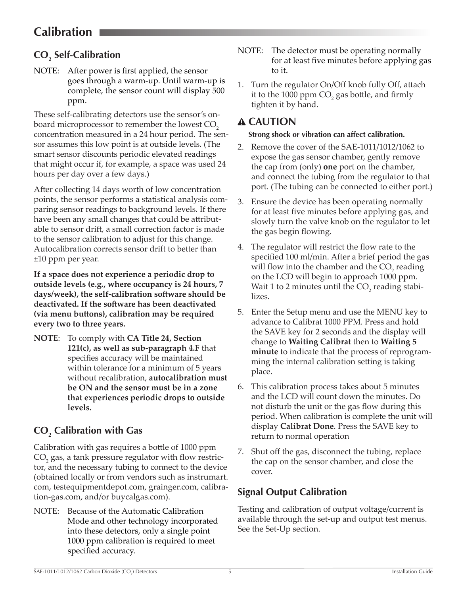# <span id="page-4-0"></span>**Calibration**

# **CO2 Self-Calibration**

NOTE: After power is first applied, the sensor goes through a warm-up. Until warm-up is complete, the sensor count will display 500 ppm.

These self-calibrating detectors use the sensor's onboard microprocessor to remember the lowest CO<sub>2</sub> concentration measured in a 24 hour period. The sensor assumes this low point is at outside levels. (The smart sensor discounts periodic elevated readings that might occur if, for example, a space was used 24 hours per day over a few days.)

After collecting 14 days worth of low concentration points, the sensor performs a statistical analysis comparing sensor readings to background levels. If there have been any small changes that could be attributable to sensor drift, a small correction factor is made to the sensor calibration to adjust for this change. Autocalibration corrects sensor drift to better than ±10 ppm per year.

**If a space does not experience a periodic drop to outside levels (e.g., where occupancy is 24 hours, 7 days/week), the self-calibration software should be deactivated. If the software has been deactivated (via menu buttons), calibration may be required every two to three years.**

**NOTE**: To comply with **CA Title 24, Section 121(c), as well as sub-paragraph 4.F** that specifies accuracy will be maintained within tolerance for a minimum of 5 years without recalibration, **autocalibration must be ON and the sensor must be in a zone that experiences periodic drops to outside levels.**

# **CO2 Calibration with Gas**

Calibration with gas requires a bottle of 1000 ppm  $\rm CO_2$  gas, a tank pressure regulator with flow restrictor, and the necessary tubing to connect to the device (obtained locally or from vendors such as instrumart. com, testequipmentdepot.com, grainger.com, calibration-gas.com, and/or buycalgas.com).

NOTE: Because of the Automatic Calibration Mode and other technology incorporated into these detectors, only a single point 1000 ppm calibration is required to meet specified accuracy.

- NOTE: The detector must be operating normally for at least five minutes before applying gas to it.
- 1. Turn the regulator On/Off knob fully Off, attach it to the 1000 ppm  $CO_2$  gas bottle, and firmly tighten it by hand.

# **CAUTION**

#### **Strong shock or vibration can affect calibration.**

- 2. Remove the cover of the SAE-1011/1012/1062 to expose the gas sensor chamber, gently remove the cap from (only) **one** port on the chamber, and connect the tubing from the regulator to that port. (The tubing can be connected to either port.)
- 3. Ensure the device has been operating normally for at least five minutes before applying gas, and slowly turn the valve knob on the regulator to let the gas begin flowing.
- 4. The regulator will restrict the flow rate to the specified 100 ml/min. After a brief period the gas will flow into the chamber and the  $CO_2$  reading on the LCD will begin to approach 1000 ppm. Wait 1 to 2 minutes until the  $\mathrm{CO}_2^{}$  reading stabilizes.
- 5. Enter the Setup menu and use the MENU key to advance to Calibrat 1000 PPM. Press and hold the SAVE key for 2 seconds and the display will change to **Waiting Calibrat** then to **Waiting 5 minute** to indicate that the process of reprogramming the internal calibration setting is taking place.
- 6. This calibration process takes about 5 minutes and the LCD will count down the minutes. Do not disturb the unit or the gas flow during this period. When calibration is complete the unit will display **Calibrat Done**. Press the SAVE key to return to normal operation
- 7. Shut off the gas, disconnect the tubing, replace the cap on the sensor chamber, and close the cover.

# **Signal Output Calibration**

Testing and calibration of output voltage/current is available through the set-up and output test menus. See the Set-Up section.